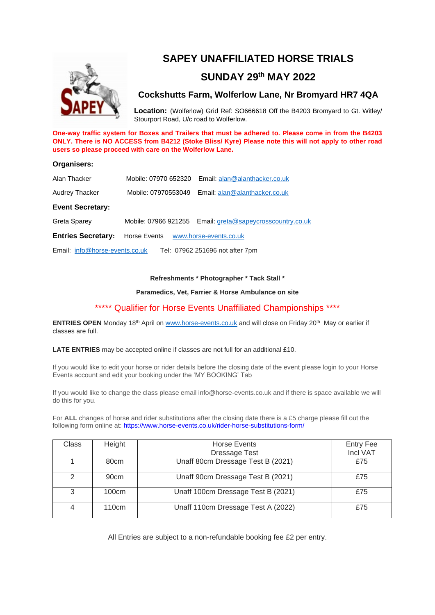

# **SAPEY UNAFFILIATED HORSE TRIALS**

## **SUNDAY 29 th MAY 2022**

### **Cockshutts Farm, Wolferlow Lane, Nr Bromyard HR7 4QA**

**Location:** (Wolferlow) Grid Ref: SO666618 Off the B4203 Bromyard to Gt. Witley/ Stourport Road, U/c road to Wolferlow.

**One-way traffic system for Boxes and Trailers that must be adhered to. Please come in from the B4203 ONLY. There is NO ACCESS from B4212 (Stoke Bliss/ Kyre) Please note this will not apply to other road users so please proceed with care on the Wolferlow Lane.**

### **Organisers:**

| Alan Thacker                                                      |                                     | Mobile: 07970 652320 Email: alan@alanthacker.co.uk        |  |  |
|-------------------------------------------------------------------|-------------------------------------|-----------------------------------------------------------|--|--|
| Audrey Thacker                                                    |                                     | Mobile: 07970553049 Email: alan@alanthacker.co.uk         |  |  |
| <b>Event Secretary:</b>                                           |                                     |                                                           |  |  |
| Greta Sparey                                                      |                                     | Mobile: 07966 921255 Email: greta@sapeycrosscountry.co.uk |  |  |
| <b>Entries Secretary:</b>                                         | Horse Events www.horse-events.co.uk |                                                           |  |  |
| Email: info@horse-events.co.uk<br>Tel: 07962 251696 not after 7pm |                                     |                                                           |  |  |

#### **Refreshments \* Photographer \* Tack Stall \***

### **Paramedics, Vet, Farrier & Horse Ambulance on site**

### \*\*\*\*\* Qualifier for Horse Events Unaffiliated Championships \*\*\*\*

**ENTRIES OPEN** Monday 18<sup>th</sup> April o[n www.horse-events.co.uk](http://www.horse-events.co.uk/) and will close on Friday 20<sup>th</sup> May or earlier if classes are full.

**LATE ENTRIES** may be accepted online if classes are not full for an additional £10.

If you would like to edit your horse or rider details before the closing date of the event please login to your Horse Events account and edit your booking under the 'MY BOOKING' Tab

If you would like to change the class please email info@horse-events.co.uk and if there is space available we will do this for you.

For **ALL** changes of horse and rider substitutions after the closing date there is a £5 charge please fill out the following form online at: <https://www.horse-events.co.uk/rider-horse-substitutions-form/>

| Class | Height            | <b>Horse Events</b>                | <b>Entry Fee</b><br>Incl VAT |
|-------|-------------------|------------------------------------|------------------------------|
|       |                   | Dressage Test                      |                              |
|       | 80cm              | Unaff 80cm Dressage Test B (2021)  | £75                          |
| 2     | 90cm              | Unaff 90cm Dressage Test B (2021)  | £75                          |
| 3     | 100cm             | Unaff 100cm Dressage Test B (2021) | £75                          |
| 4     | 110 <sub>cm</sub> | Unaff 110cm Dressage Test A (2022) | £75                          |

All Entries are subject to a non-refundable booking fee £2 per entry.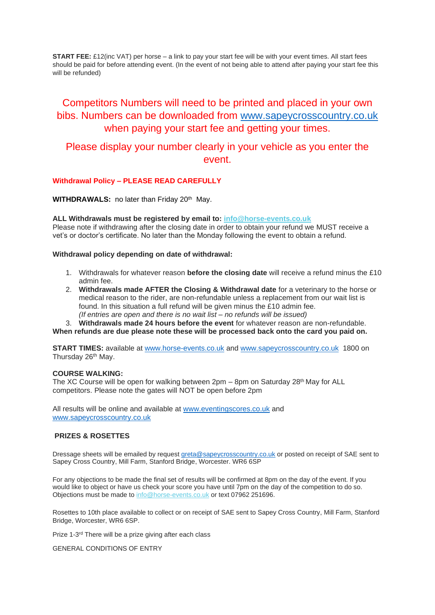**START FEE:** £12(inc VAT) per horse – a link to pay your start fee will be with your event times. All start fees should be paid for before attending event. (In the event of not being able to attend after paying your start fee this will be refunded)

# Competitors Numbers will need to be printed and placed in your own bibs. Numbers can be downloaded from [www.sapeycrosscountry.co.uk](http://www.sapeycrosscountry.co.uk/) when paying your start fee and getting your times.

## Please display your number clearly in your vehicle as you enter the event.

### **Withdrawal Policy – PLEASE READ CAREFULLY**

**WITHDRAWALS:** no later than Friday 20<sup>th</sup> May.

### **ALL Withdrawals must be registered by email to: [info@horse-events.co.uk](mailto:info@horse-events.co.uk)**

Please note if withdrawing after the closing date in order to obtain your refund we MUST receive a vet's or doctor's certificate. No later than the Monday following the event to obtain a refund.

#### **Withdrawal policy depending on date of withdrawal:**

- 1. Withdrawals for whatever reason **before the closing date** will receive a refund minus the £10 admin fee.
- 2. **Withdrawals made AFTER the Closing & Withdrawal date** for a veterinary to the horse or medical reason to the rider, are non-refundable unless a replacement from our wait list is found. In this situation a full refund will be given minus the £10 admin fee. *(If entries are open and there is no wait list – no refunds will be issued)*
- 3. **Withdrawals made 24 hours before the event** for whatever reason are non-refundable.

### **When refunds are due please note these will be processed back onto the card you paid on.**

**START TIMES:** available at [www.horse-events.co.uk](http://www.horse-events.co.uk/) and [www.sapeycrosscountry.co.uk](http://www.sapeycrosscountry.co.uk/) 1800 on Thursday 26<sup>th</sup> May.

### **COURSE WALKING:**

The XC Course will be open for walking between 2pm - 8pm on Saturday 28<sup>th</sup> May for ALL competitors. Please note the gates will NOT be open before 2pm

All results will be online and available at [www.eventingscores.co.uk](http://www.eventingscores.co.uk/) and [www.sapeycrosscountry.co.uk](http://www.sapeycrosscountry.co.uk/)

### **PRIZES & ROSETTES**

Dressage sheets will be emailed by request [greta@sapeycrosscountry.co.uk](mailto:greta@sapeycrosscountry.co.uk) or posted on receipt of SAE sent to Sapey Cross Country, Mill Farm, Stanford Bridge, Worcester. WR6 6SP

For any objections to be made the final set of results will be confirmed at 8pm on the day of the event. If you would like to object or have us check your score you have until 7pm on the day of the competition to do so. Objections must be made to [info@horse-events.co.uk](mailto:info@horse-events.co.uk) or text 07962 251696.

Rosettes to 10th place available to collect or on receipt of SAE sent to Sapey Cross Country, Mill Farm, Stanford Bridge, Worcester, WR6 6SP.

Prize 1-3<sup>rd</sup> There will be a prize giving after each class

GENERAL CONDITIONS OF ENTRY